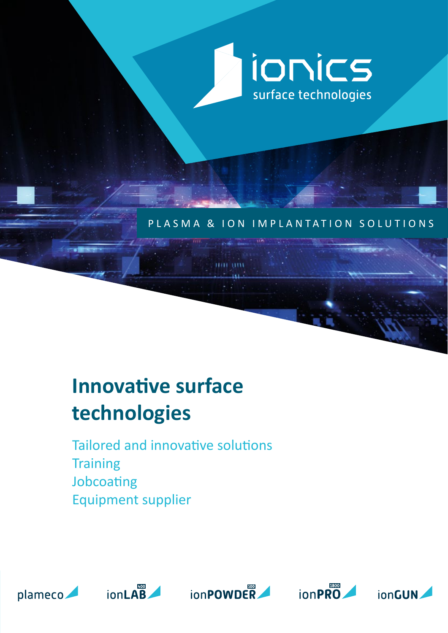

### PLASMA & ION IMPLANTATION SOLUTIONS

# **Innovative surface technologies**

Tailored and innovative solutions **Training** Jobcoating Equipment supplier









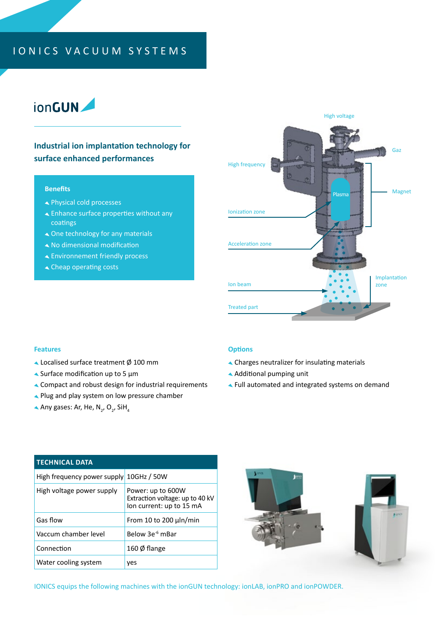### IONICS VACUUM SYSTEMS

## ionGUN

### **Industrial ion implantation technology for surface enhanced performances**

#### **Benefits**

- Physical cold processes
- Enhance surface properties without any coatings
- One technology for any materials
- No dimensional modification
- Environnement friendly process
- Cheap operating costs



#### **Features**

- Localised surface treatment Ø 100 mm
- $\triangle$  Surface modification up to 5  $\mu$ m
- Compact and robust design for industrial requirements
- ▲ Plug and play system on low pressure chamber
- Any gases: Ar, He, N<sub>2</sub>, O<sub>2</sub>, SiH<sub>4</sub>

#### **Options**

- Charges neutralizer for insulating materials
- Additional pumping unit
- Full automated and integrated systems on demand

| <b>TECHNICAL DATA</b>                   |                                                                                  |
|-----------------------------------------|----------------------------------------------------------------------------------|
| High frequency power supply 10GHz / 50W |                                                                                  |
| High voltage power supply               | Power: up to 600W<br>Extraction voltage: up to 40 kV<br>lon current: up to 15 mA |
| Gas flow                                | From 10 to 200 $\mu$ ln/min                                                      |
| Vaccum chamber level                    | Below 3e <sup>-6</sup> mBar                                                      |
| Connection                              | 160 Ø flange                                                                     |
| Water cooling system                    | yes                                                                              |



IONICS equips the following machines with the ionGUN technology: ionLAB, ionPRO and ionPOWDER.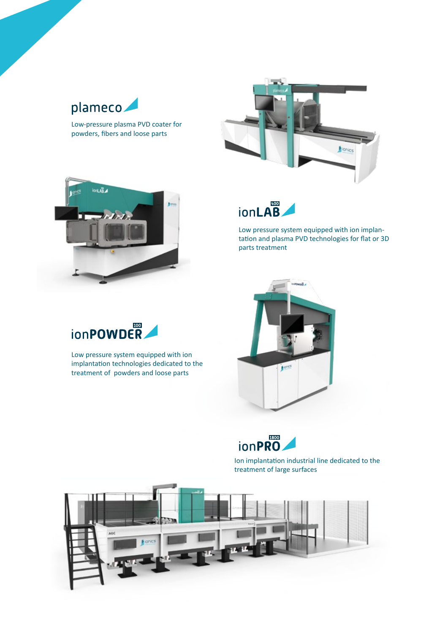## plameco

Low-pressure plasma PVD coater for powders, fibers and loose parts







Low pressure system equipped with ion implantation and plasma PVD technologies for flat or 3D parts treatment





Ion implantation industrial line dedicated to the treatment of large surfaces





Low pressure system equipped with ion implantation technologies dedicated to the treatment of powders and loose parts